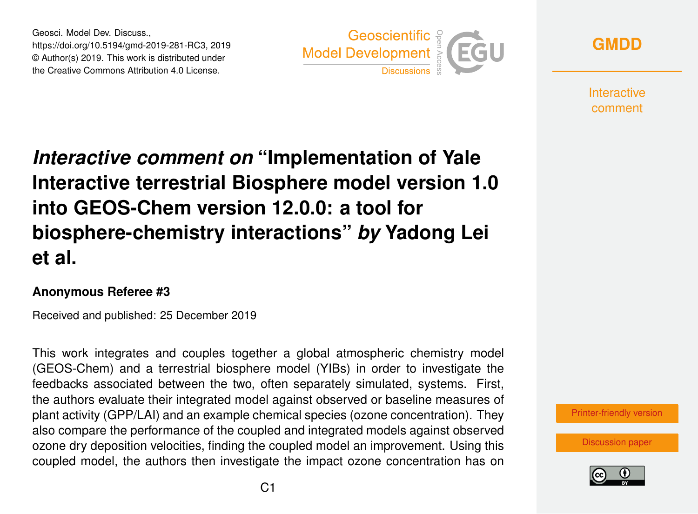Geosci. Model Dev. Discuss., https://doi.org/10.5194/gmd-2019-281-RC3, 2019 © Author(s) 2019. This work is distributed under the Creative Commons Attribution 4.0 License.





**Interactive** comment

# *Interactive comment on* **"Implementation of Yale Interactive terrestrial Biosphere model version 1.0 into GEOS-Chem version 12.0.0: a tool for biosphere-chemistry interactions"** *by* **Yadong Lei et al.**

#### **Anonymous Referee #3**

Received and published: 25 December 2019

This work integrates and couples together a global atmospheric chemistry model (GEOS-Chem) and a terrestrial biosphere model (YIBs) in order to investigate the feedbacks associated between the two, often separately simulated, systems. First, the authors evaluate their integrated model against observed or baseline measures of plant activity (GPP/LAI) and an example chemical species (ozone concentration). They also compare the performance of the coupled and integrated models against observed ozone dry deposition velocities, finding the coupled model an improvement. Using this coupled model, the authors then investigate the impact ozone concentration has on



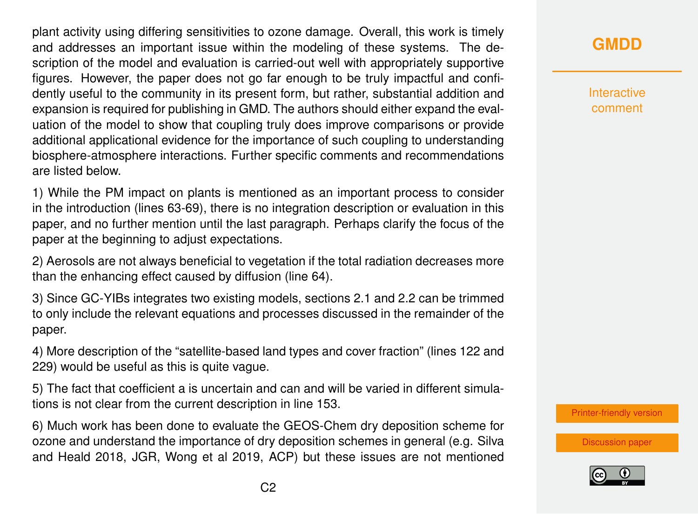plant activity using differing sensitivities to ozone damage. Overall, this work is timely and addresses an important issue within the modeling of these systems. The description of the model and evaluation is carried-out well with appropriately supportive figures. However, the paper does not go far enough to be truly impactful and confidently useful to the community in its present form, but rather, substantial addition and expansion is required for publishing in GMD. The authors should either expand the evaluation of the model to show that coupling truly does improve comparisons or provide additional applicational evidence for the importance of such coupling to understanding biosphere-atmosphere interactions. Further specific comments and recommendations are listed below.

1) While the PM impact on plants is mentioned as an important process to consider in the introduction (lines 63-69), there is no integration description or evaluation in this paper, and no further mention until the last paragraph. Perhaps clarify the focus of the paper at the beginning to adjust expectations.

2) Aerosols are not always beneficial to vegetation if the total radiation decreases more than the enhancing effect caused by diffusion (line 64).

3) Since GC-YIBs integrates two existing models, sections 2.1 and 2.2 can be trimmed to only include the relevant equations and processes discussed in the remainder of the paper.

4) More description of the "satellite-based land types and cover fraction" (lines 122 and 229) would be useful as this is quite vague.

5) The fact that coefficient a is uncertain and can and will be varied in different simulations is not clear from the current description in line 153.

6) Much work has been done to evaluate the GEOS-Chem dry deposition scheme for ozone and understand the importance of dry deposition schemes in general (e.g. Silva and Heald 2018, JGR, Wong et al 2019, ACP) but these issues are not mentioned

## **[GMDD](https://www.geosci-model-dev-discuss.net/)**

**Interactive** comment

[Printer-friendly version](https://www.geosci-model-dev-discuss.net/gmd-2019-281/gmd-2019-281-RC3-print.pdf)

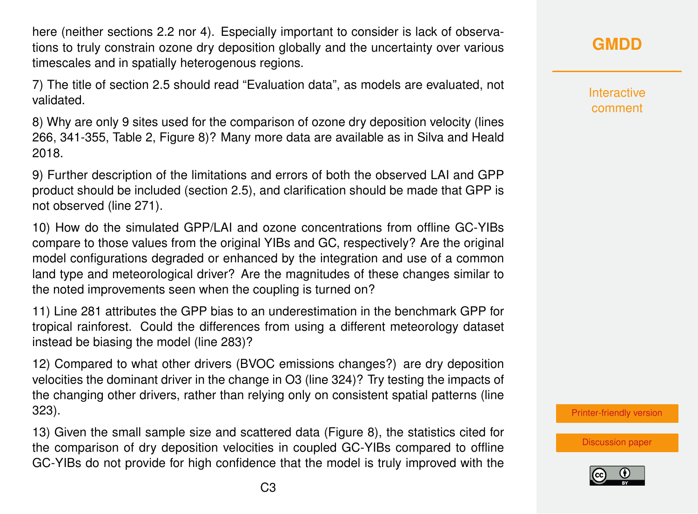here (neither sections 2.2 nor 4). Especially important to consider is lack of observations to truly constrain ozone dry deposition globally and the uncertainty over various timescales and in spatially heterogenous regions.

7) The title of section 2.5 should read "Evaluation data", as models are evaluated, not validated.

8) Why are only 9 sites used for the comparison of ozone dry deposition velocity (lines 266, 341-355, Table 2, Figure 8)? Many more data are available as in Silva and Heald 2018.

9) Further description of the limitations and errors of both the observed LAI and GPP product should be included (section 2.5), and clarification should be made that GPP is not observed (line 271).

10) How do the simulated GPP/LAI and ozone concentrations from offline GC-YIBs compare to those values from the original YIBs and GC, respectively? Are the original model configurations degraded or enhanced by the integration and use of a common land type and meteorological driver? Are the magnitudes of these changes similar to the noted improvements seen when the coupling is turned on?

11) Line 281 attributes the GPP bias to an underestimation in the benchmark GPP for tropical rainforest. Could the differences from using a different meteorology dataset instead be biasing the model (line 283)?

12) Compared to what other drivers (BVOC emissions changes?) are dry deposition velocities the dominant driver in the change in O3 (line 324)? Try testing the impacts of the changing other drivers, rather than relying only on consistent spatial patterns (line 323).

13) Given the small sample size and scattered data (Figure 8), the statistics cited for the comparison of dry deposition velocities in coupled GC-YIBs compared to offline GC-YIBs do not provide for high confidence that the model is truly improved with the **[GMDD](https://www.geosci-model-dev-discuss.net/)**

Interactive comment

[Printer-friendly version](https://www.geosci-model-dev-discuss.net/gmd-2019-281/gmd-2019-281-RC3-print.pdf)

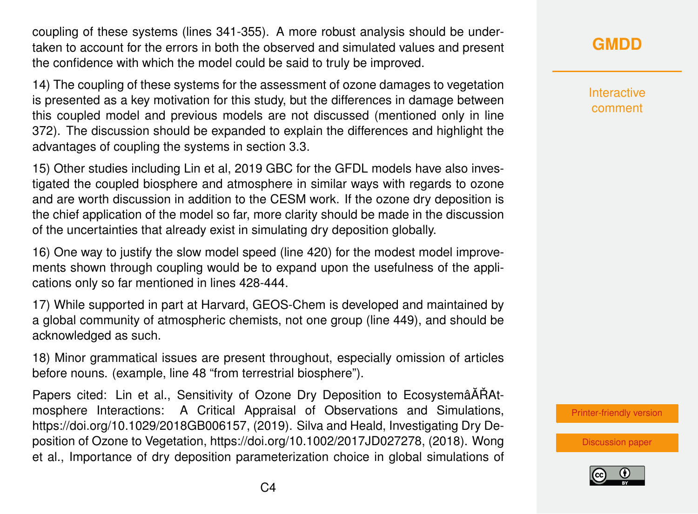coupling of these systems (lines 341-355). A more robust analysis should be undertaken to account for the errors in both the observed and simulated values and present the confidence with which the model could be said to truly be improved.

14) The coupling of these systems for the assessment of ozone damages to vegetation is presented as a key motivation for this study, but the differences in damage between this coupled model and previous models are not discussed (mentioned only in line 372). The discussion should be expanded to explain the differences and highlight the advantages of coupling the systems in section 3.3.

15) Other studies including Lin et al, 2019 GBC for the GFDL models have also investigated the coupled biosphere and atmosphere in similar ways with regards to ozone and are worth discussion in addition to the CESM work. If the ozone dry deposition is the chief application of the model so far, more clarity should be made in the discussion of the uncertainties that already exist in simulating dry deposition globally.

16) One way to justify the slow model speed (line 420) for the modest model improvements shown through coupling would be to expand upon the usefulness of the applications only so far mentioned in lines 428-444.

17) While supported in part at Harvard, GEOS-Chem is developed and maintained by a global community of atmospheric chemists, not one group (line 449), and should be acknowledged as such.

18) Minor grammatical issues are present throughout, especially omission of articles before nouns. (example, line 48 "from terrestrial biosphere").

Papers cited: Lin et al., Sensitivity of Ozone Dry Deposition to EcosystemâATAAtmosphere Interactions: A Critical Appraisal of Observations and Simulations, https://doi.org/10.1029/2018GB006157, (2019). Silva and Heald, Investigating Dry Deposition of Ozone to Vegetation, https://doi.org/10.1002/2017JD027278, (2018). Wong et al., Importance of dry deposition parameterization choice in global simulations of

## **[GMDD](https://www.geosci-model-dev-discuss.net/)**

Interactive comment

[Printer-friendly version](https://www.geosci-model-dev-discuss.net/gmd-2019-281/gmd-2019-281-RC3-print.pdf)